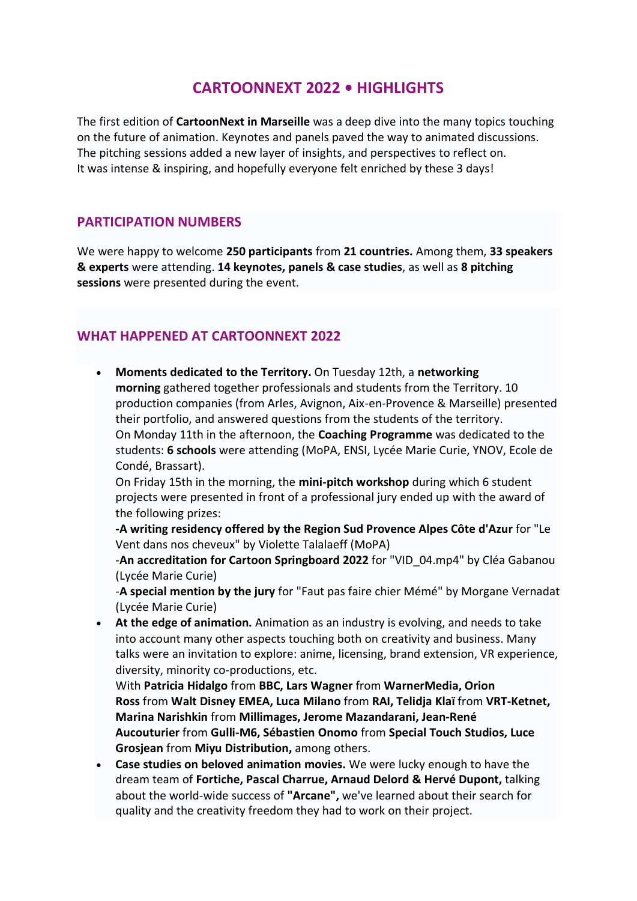# **CARTOONNEXT 2022 • HIGHLIGHTS**

The first edition of **CartoonNext in Marseille** was a deep dive into the many topics touching on the future of animation. Keynotes and panels paved the way to animated discussions. The pitching sessions added a new layer of insights, and perspectives to reflect on. It was intense & inspiring, and hopefully everyone felt enriched by these 3 days!

#### **PARTICIPATION NUMBERS**

We were happy to welcome **250 participants** from **21 countries.** Among them, **33 speakers & experts** were attending. **14 keynotes, panels & case studies**, as well as **8 pitching sessions** were presented during the event.

### **WHAT HAPPENED AT CARTOONNEXT 2022**

• **Moments dedicated to the Territory.** On Tuesday 12th, a **networking morning** gathered together professionals and students from the Territory. 10 production companies (from Arles, Avignon, Aix-en-Provence & Marseille) presented their portfolio, and answered questions from the students of the territory. On Monday 11th in the afternoon, the **Coaching Programme** was dedicated to the students: **6 schools** were attending (MoPA, ENSI, Lycée Marie Curie, YNOV, Ecole de Condé, Brassart).

On Friday 15th in the morning, the **mini-pitch workshop** during which 6 student projects were presented in front of a professional jury ended up with the award of the following prizes:

**-A writing residency offered by the Region Sud Provence Alpes Côte d'Azur** for "Le Vent dans nos cheveux" by Violette Talalaeff (MoPA)

-**An accreditation for Cartoon Springboard 2022** for "VID\_04.mp4" by Cléa Gabanou (Lycée Marie Curie)

-**A special mention by the jury** for "Faut pas faire chier Mémé" by Morgane Vernadat (Lycée Marie Curie)

• **At the edge of animation.** Animation as an industry is evolving, and needs to take into account many other aspects touching both on creativity and business. Many talks were an invitation to explore: anime, licensing, brand extension, VR experience, diversity, minority co-productions, etc.

With **Patricia Hidalgo** from **BBC, Lars Wagner** from **WarnerMedia, Orion Ross** from **Walt Disney EMEA, Luca Milano** from **RAI, Telidja Klaï** from **VRT-Ketnet, Marina Narishkin** from **Millimages, Jerome Mazandarani, Jean-René Aucouturier** from **Gulli-M6, Sébastien Onomo** from **Special Touch Studios, Luce Grosjean** from **Miyu Distribution,** among others.

• **Case studies on beloved animation movies.** We were lucky enough to have the dream team of **Fortiche, Pascal Charrue, Arnaud Delord & Hervé Dupont,** talking about the world-wide success of **"Arcane",** we've learned about their search for quality and the creativity freedom they had to work on their project.